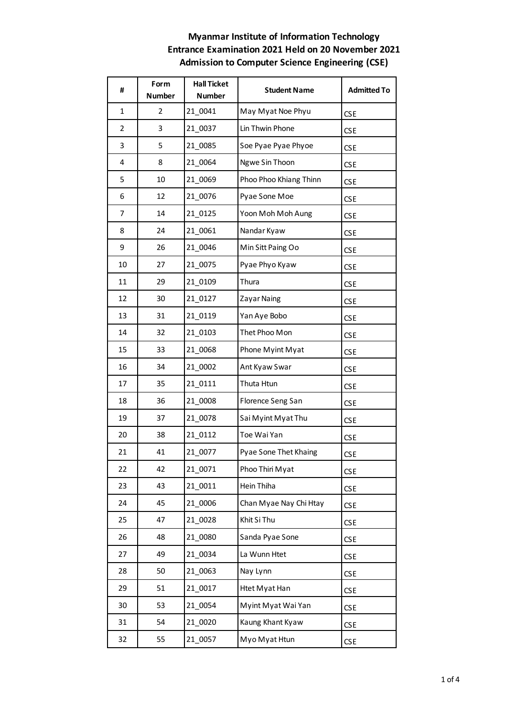| #              | Form<br><b>Number</b> | <b>Hall Ticket</b><br><b>Number</b> | <b>Student Name</b>    | <b>Admitted To</b> |
|----------------|-----------------------|-------------------------------------|------------------------|--------------------|
| $\mathbf{1}$   | $\overline{2}$        | 21_0041                             | May Myat Noe Phyu      | <b>CSE</b>         |
| $\overline{2}$ | 3                     | 21 0037                             | Lin Thwin Phone        | <b>CSE</b>         |
| 3              | 5                     | 21_0085                             | Soe Pyae Pyae Phyoe    | <b>CSE</b>         |
| 4              | 8                     | 21 0064                             | Ngwe Sin Thoon         | <b>CSE</b>         |
| 5              | 10                    | 21 0069                             | Phoo Phoo Khiang Thinn | <b>CSE</b>         |
| 6              | 12                    | 21_0076                             | Pyae Sone Moe          | <b>CSE</b>         |
| 7              | 14                    | 21 0125                             | Yoon Moh Moh Aung      | <b>CSE</b>         |
| 8              | 24                    | 21 0061                             | Nandar Kyaw            | <b>CSE</b>         |
| 9              | 26                    | 21 0046                             | Min Sitt Paing Oo      | <b>CSE</b>         |
| 10             | 27                    | 21 0075                             | Pyae Phyo Kyaw         | <b>CSE</b>         |
| 11             | 29                    | 21 0109                             | Thura                  | <b>CSE</b>         |
| 12             | 30                    | 21_0127                             | Zayar Naing            | <b>CSE</b>         |
| 13             | 31                    | 21 0119                             | Yan Aye Bobo           | <b>CSE</b>         |
| 14             | 32                    | 21 0103                             | Thet Phoo Mon          | <b>CSE</b>         |
| 15             | 33                    | 21_0068                             | Phone Myint Myat       | <b>CSE</b>         |
| 16             | 34                    | 21 0002                             | Ant Kyaw Swar          | <b>CSE</b>         |
| 17             | 35                    | 21 0111                             | Thuta Htun             | <b>CSE</b>         |
| 18             | 36                    | 21_0008                             | Florence Seng San      | <b>CSE</b>         |
| 19             | 37                    | 21 0078                             | Sai Myint Myat Thu     | <b>CSE</b>         |
| 20             | 38                    | 21 0112                             | Toe Wai Yan            | <b>CSE</b>         |
| 21             | 41                    | 21 0077                             | Pyae Sone Thet Khaing  | <b>CSE</b>         |
| 22             | 42                    | 21 0071                             | Phoo Thiri Myat        | <b>CSE</b>         |
| 23             | 43                    | 21 0011                             | Hein Thiha             | <b>CSE</b>         |
| 24             | 45                    | 21 0006                             | Chan Myae Nay Chi Htay | <b>CSE</b>         |
| 25             | 47                    | 21 0028                             | Khit Si Thu            | <b>CSE</b>         |
| 26             | 48                    | 21 0080                             | Sanda Pyae Sone        | <b>CSE</b>         |
| 27             | 49                    | 21 0034                             | La Wunn Htet           | <b>CSE</b>         |
| 28             | 50                    | 21 0063                             | Nay Lynn               | <b>CSE</b>         |
| 29             | 51                    | 21 0017                             | Htet Myat Han          | <b>CSE</b>         |
| 30             | 53                    | 21 0054                             | Myint Myat Wai Yan     | <b>CSE</b>         |
| 31             | 54                    | 21 0020                             | Kaung Khant Kyaw       | <b>CSE</b>         |
| 32             | 55                    | 21 0057                             | Myo Myat Htun          | <b>CSE</b>         |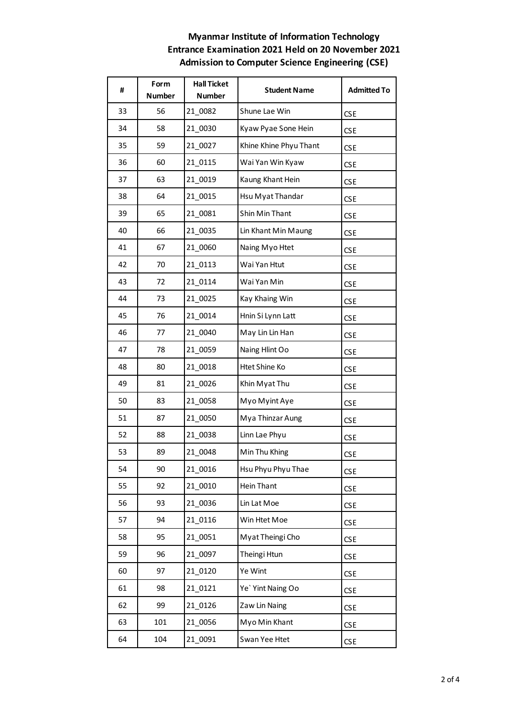| #  | Form<br><b>Number</b> | <b>Hall Ticket</b><br><b>Number</b> | <b>Student Name</b>    | <b>Admitted To</b> |
|----|-----------------------|-------------------------------------|------------------------|--------------------|
| 33 | 56                    | 21 0082                             | Shune Lae Win          | <b>CSE</b>         |
| 34 | 58                    | 21 0030                             | Kyaw Pyae Sone Hein    | <b>CSE</b>         |
| 35 | 59                    | 21 0027                             | Khine Khine Phyu Thant | <b>CSE</b>         |
| 36 | 60                    | 21 0115                             | Wai Yan Win Kyaw       | <b>CSE</b>         |
| 37 | 63                    | 21 0019                             | Kaung Khant Hein       | <b>CSE</b>         |
| 38 | 64                    | 21 0015                             | Hsu Myat Thandar       | <b>CSE</b>         |
| 39 | 65                    | 21 0081                             | Shin Min Thant         | <b>CSE</b>         |
| 40 | 66                    | 21 0035                             | Lin Khant Min Maung    | <b>CSE</b>         |
| 41 | 67                    | 21 0060                             | Naing Myo Htet         | <b>CSE</b>         |
| 42 | 70                    | 21 0113                             | Wai Yan Htut           | <b>CSE</b>         |
| 43 | 72                    | 21 0114                             | Wai Yan Min            | <b>CSE</b>         |
| 44 | 73                    | 21 0025                             | Kay Khaing Win         | <b>CSE</b>         |
| 45 | 76                    | 21 0014                             | Hnin Si Lynn Latt      | <b>CSE</b>         |
| 46 | 77                    | 21 0040                             | May Lin Lin Han        | <b>CSE</b>         |
| 47 | 78                    | 21 0059                             | Naing Hlint Oo         | <b>CSE</b>         |
| 48 | 80                    | 21 0018                             | Htet Shine Ko          | <b>CSE</b>         |
| 49 | 81                    | 21 0026                             | Khin Myat Thu          | <b>CSE</b>         |
| 50 | 83                    | 21 0058                             | Myo Myint Aye          | <b>CSE</b>         |
| 51 | 87                    | 21 0050                             | Mya Thinzar Aung       | <b>CSE</b>         |
| 52 | 88                    | 21 0038                             | Linn Lae Phyu          | <b>CSE</b>         |
| 53 | 89                    | 21 0048                             | Min Thu Khing          | <b>CSE</b>         |
| 54 | 90                    | 21_0016                             | Hsu Phyu Phyu Thae     | <b>CSE</b>         |
| 55 | 92                    | 21 0010                             | Hein Thant             | <b>CSE</b>         |
| 56 | 93                    | 21 0036                             | Lin Lat Moe            | <b>CSE</b>         |
| 57 | 94                    | 21 0116                             | Win Htet Moe           | <b>CSE</b>         |
| 58 | 95                    | 21 0051                             | Myat Theingi Cho       | <b>CSE</b>         |
| 59 | 96                    | 21 0097                             | Theingi Htun           | <b>CSE</b>         |
| 60 | 97                    | 21 0120                             | Ye Wint                | <b>CSE</b>         |
| 61 | 98                    | 21 0121                             | Ye' Yint Naing Oo      | <b>CSE</b>         |
| 62 | 99                    | 21_0126                             | Zaw Lin Naing          | <b>CSE</b>         |
| 63 | 101                   | 21 0056                             | Myo Min Khant          | <b>CSE</b>         |
| 64 | 104                   | 21 0091                             | Swan Yee Htet          | <b>CSE</b>         |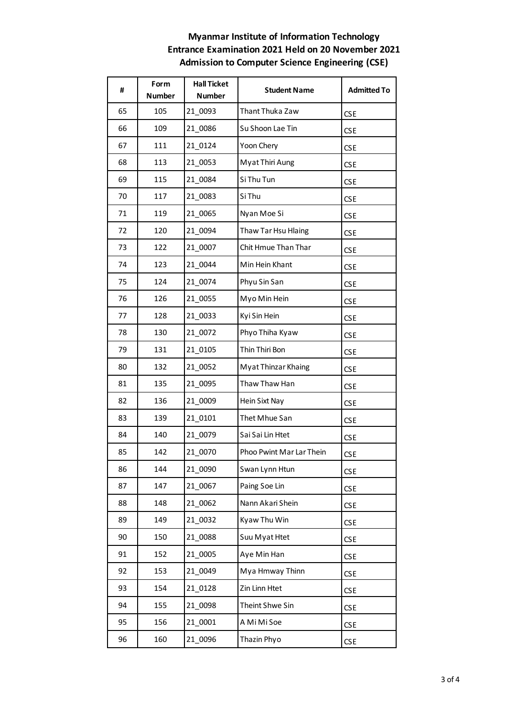| #  | Form<br><b>Number</b> | <b>Hall Ticket</b><br><b>Number</b> | <b>Student Name</b>      | <b>Admitted To</b> |
|----|-----------------------|-------------------------------------|--------------------------|--------------------|
| 65 | 105                   | 21_0093                             | Thant Thuka Zaw          | <b>CSE</b>         |
| 66 | 109                   | 21 0086                             | Su Shoon Lae Tin         | <b>CSE</b>         |
| 67 | 111                   | 21 0124                             | Yoon Chery               | <b>CSE</b>         |
| 68 | 113                   | 21 0053                             | Myat Thiri Aung          | <b>CSE</b>         |
| 69 | 115                   | 21 0084                             | Si Thu Tun               | <b>CSE</b>         |
| 70 | 117                   | 21 0083                             | Si Thu                   | <b>CSE</b>         |
| 71 | 119                   | 21 0065                             | Nyan Moe Si              | <b>CSE</b>         |
| 72 | 120                   | 21 0094                             | Thaw Tar Hsu Hlaing      | <b>CSE</b>         |
| 73 | 122                   | 21 0007                             | Chit Hmue Than Thar      | <b>CSE</b>         |
| 74 | 123                   | 21 0044                             | Min Hein Khant           | <b>CSE</b>         |
| 75 | 124                   | 21 0074                             | Phyu Sin San             | <b>CSE</b>         |
| 76 | 126                   | 21 0055                             | Myo Min Hein             | <b>CSE</b>         |
| 77 | 128                   | 21 0033                             | Kyi Sin Hein             | <b>CSE</b>         |
| 78 | 130                   | 21 0072                             | Phyo Thiha Kyaw          | <b>CSE</b>         |
| 79 | 131                   | 21_0105                             | Thin Thiri Bon           | <b>CSE</b>         |
| 80 | 132                   | 21 0052                             | Myat Thinzar Khaing      | <b>CSE</b>         |
| 81 | 135                   | 21 0095                             | Thaw Thaw Han            | <b>CSE</b>         |
| 82 | 136                   | 21_0009                             | Hein Sixt Nay            | <b>CSE</b>         |
| 83 | 139                   | 21 0101                             | Thet Mhue San            | <b>CSE</b>         |
| 84 | 140                   | 21 0079                             | Sai Sai Lin Htet         | <b>CSE</b>         |
| 85 | 142                   | 21 0070                             | Phoo Pwint Mar Lar Thein | <b>CSE</b>         |
| 86 | 144                   | 21 0090                             | Swan Lynn Htun           | <b>CSE</b>         |
| 87 | 147                   | 21_0067                             | Paing Soe Lin            | <b>CSE</b>         |
| 88 | 148                   | 21_0062                             | Nann Akari Shein         | <b>CSE</b>         |
| 89 | 149                   | 21 0032                             | Kyaw Thu Win             | <b>CSE</b>         |
| 90 | 150                   | 21_0088                             | Suu Myat Htet            | <b>CSE</b>         |
| 91 | 152                   | 21_0005                             | Aye Min Han              | <b>CSE</b>         |
| 92 | 153                   | 21 0049                             | Mya Hmway Thinn          | <b>CSE</b>         |
| 93 | 154                   | 21_0128                             | Zin Linn Htet            | <b>CSE</b>         |
| 94 | 155                   | 21_0098                             | Theint Shwe Sin          | <b>CSE</b>         |
| 95 | 156                   | 21 0001                             | A Mi Mi Soe              | <b>CSE</b>         |
| 96 | 160                   | 21 0096                             | Thazin Phyo              | <b>CSE</b>         |